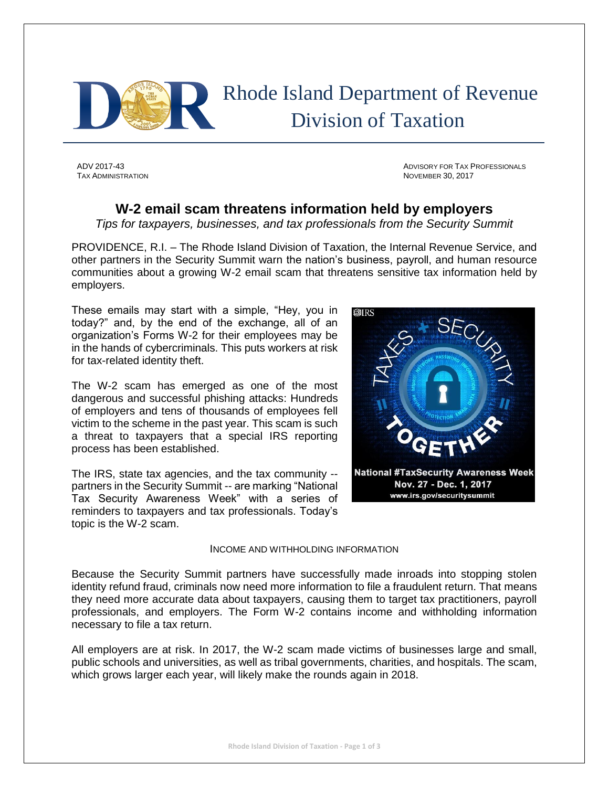

 Rhode Island Department of Revenue Division of Taxation

ADV 2017-43 ADVISORY FOR TAX PROFESSIONALS TAX ADMINISTRATION NOVEMBER 30, 2017

## **W-2 email scam threatens information held by employers**

*Tips for taxpayers, businesses, and tax professionals from the Security Summit*

PROVIDENCE, R.I. – The Rhode Island Division of Taxation, the Internal Revenue Service, and other partners in the Security Summit warn the nation's business, payroll, and human resource communities about a growing W-2 email scam that threatens sensitive tax information held by employers.

These emails may start with a simple, "Hey, you in today?" and, by the end of the exchange, all of an organization's Forms W-2 for their employees may be in the hands of cybercriminals. This puts workers at risk for tax-related identity theft.

The W-2 scam has emerged as one of the most dangerous and successful phishing attacks: Hundreds of employers and tens of thousands of employees fell victim to the scheme in the past year. This scam is such a threat to taxpayers that a special IRS reporting process has been established.

The IRS, state tax agencies, and the tax community - partners in the Security Summit -- are marking "National Tax Security Awareness Week" with a series of reminders to taxpayers and tax professionals. Today's topic is the W-2 scam.



## INCOME AND WITHHOLDING INFORMATION

Because the Security Summit partners have successfully made inroads into stopping stolen identity refund fraud, criminals now need more information to file a fraudulent return. That means they need more accurate data about taxpayers, causing them to target tax practitioners, payroll professionals, and employers. The Form W-2 contains income and withholding information necessary to file a tax return.

All employers are at risk. In 2017, the W-2 scam made victims of businesses large and small, public schools and universities, as well as tribal governments, charities, and hospitals. The scam, which grows larger each year, will likely make the rounds again in 2018.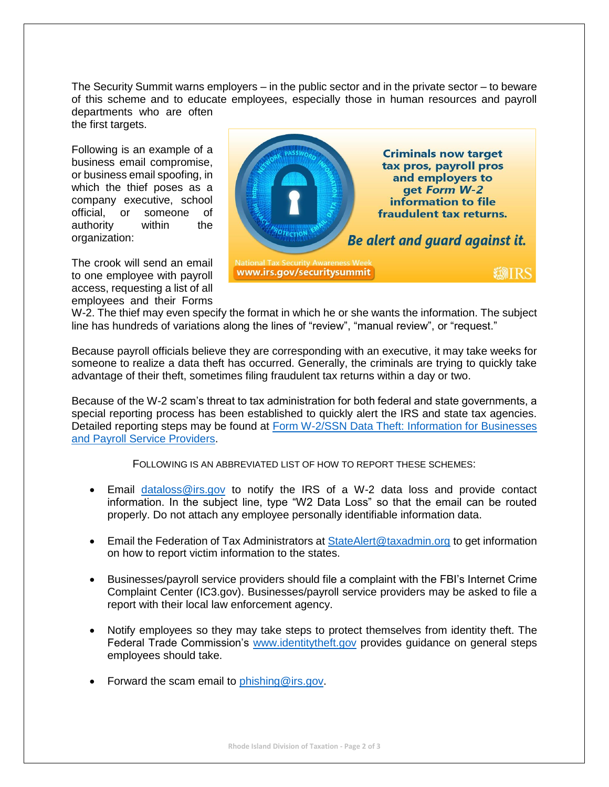The Security Summit warns employers – in the public sector and in the private sector – to beware of this scheme and to educate employees, especially those in human resources and payroll departments who are often

the first targets.

Following is an example of a business email compromise, or business email spoofing, in which the thief poses as a company executive, school official, or someone of authority within the organization:

The crook will send an email to one employee with payroll access, requesting a list of all employees and their Forms



W-2. The thief may even specify the format in which he or she wants the information. The subject line has hundreds of variations along the lines of "review", "manual review", or "request."

Because payroll officials believe they are corresponding with an executive, it may take weeks for someone to realize a data theft has occurred. Generally, the criminals are trying to quickly take advantage of their theft, sometimes filing fraudulent tax returns within a day or two.

Because of the W-2 scam's threat to tax administration for both federal and state governments, a special reporting process has been established to quickly alert the IRS and state tax agencies. Detailed reporting steps may be found at Form W-2/SSN Data Theft: Information for Businesses [and Payroll Service Providers.](https://www.irs.gov/individuals/form-w2-ssn-data-theft-information-for-businesses-and-payroll-service-providers)

FOLLOWING IS AN ABBREVIATED LIST OF HOW TO REPORT THESE SCHEMES:

- Email [dataloss@irs.gov](mailto:dataloss@irs.gov) to notify the IRS of a W-2 data loss and provide contact information. In the subject line, type "W2 Data Loss" so that the email can be routed properly. Do not attach any employee personally identifiable information data.
- Email the Federation of Tax Administrators at **StateAlert@taxadmin.org** to get information on how to report victim information to the states.
- Businesses/payroll service providers should file a complaint with the FBI's Internet Crime Complaint Center (IC3.gov). Businesses/payroll service providers may be asked to file a report with their local law enforcement agency.
- Notify employees so they may take steps to protect themselves from identity theft. The Federal Trade Commission's [www.identitytheft.gov](http://www.identitytheft.gov/) provides guidance on general steps employees should take.
- Forward the scam email to phishing @irs.gov.